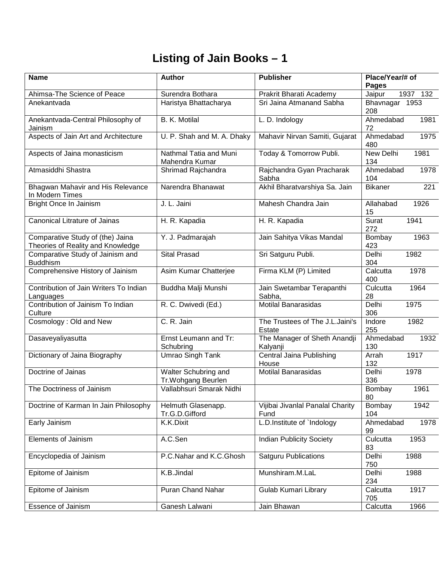## **Listing of Jain Books – 1**

| <b>Name</b>                                                           | <b>Author</b>                               | <b>Publisher</b>                          | Place/Year/# of<br>Pages        |
|-----------------------------------------------------------------------|---------------------------------------------|-------------------------------------------|---------------------------------|
| Ahimsa-The Science of Peace                                           | Surendra Bothara                            | Prakrit Bharati Academy                   | Jaipur<br>1937 132              |
| Anekantvada                                                           | Haristya Bhattacharya                       | Sri Jaina Atmanand Sabha                  | Bhavnagar 1953<br>208           |
| Anekantvada-Central Philosophy of<br>Jainism                          | <b>B. K. Motilal</b>                        | L. D. Indology                            | Ahmedabad<br>1981<br>72         |
| Aspects of Jain Art and Architecture                                  | U. P. Shah and M. A. Dhaky                  | Mahavir Nirvan Samiti, Gujarat            | Ahmedabad<br>1975<br>480        |
| Aspects of Jaina monasticism                                          | Nathmal Tatia and Muni<br>Mahendra Kumar    | Today & Tomorrow Publi.                   | <b>New Delhi</b><br>1981<br>134 |
| Atmasiddhi Shastra                                                    | Shrimad Rajchandra                          | Rajchandra Gyan Pracharak<br>Sabha        | Ahmedabad<br>1978<br>104        |
| Bhagwan Mahavir and His Relevance<br>In Modern Times                  | Narendra Bhanawat                           | Akhil Bharatvarshiya Sa. Jain             | 221<br><b>Bikaner</b>           |
| Bright Once In Jainism                                                | J. L. Jaini                                 | Mahesh Chandra Jain                       | Allahabad<br>1926<br>15         |
| <b>Canonical Litrature of Jainas</b>                                  | H. R. Kapadia                               | H. R. Kapadia                             | 1941<br>Surat<br>272            |
| Comparative Study of (the) Jaina<br>Theories of Reality and Knowledge | Y. J. Padmarajah                            | Jain Sahitya Vikas Mandal                 | Bombay<br>1963<br>423           |
| Comparative Study of Jainism and<br><b>Buddhism</b>                   | <b>Sital Prasad</b>                         | Sri Satguru Publi.                        | 1982<br>Delhi<br>304            |
| Comprehensive History of Jainism                                      | Asim Kumar Chatterjee                       | Firma KLM (P) Limited                     | Calcutta<br>1978<br>400         |
| Contribution of Jain Writers To Indian<br>Languages                   | Buddha Malji Munshi                         | Jain Swetambar Terapanthi<br>Sabha,       | Culcutta<br>1964<br>28          |
| Contribution of Jainism To Indian<br>Culture                          | R. C. Dwivedi (Ed.)                         | Motilal Banarasidas                       | Delhi<br>1975<br>306            |
| Cosmology: Old and New                                                | C. R. Jain                                  | The Trustees of The J.L.Jaini's<br>Estate | 1982<br>Indore<br>255           |
| Dasaveyaliyasutta                                                     | Ernst Leumann and Tr:<br>Schubring          | The Manager of Sheth Anandji<br>Kalyanji  | Ahmedabad<br>1932<br>130        |
| Dictionary of Jaina Biography                                         | Umrao Singh Tank                            | <b>Central Jaina Publishing</b><br>House  | 1917<br>Arrah<br>132            |
| Doctrine of Jainas                                                    | Walter Schubring and<br>Tr. Wohgang Beurlen | <b>Motilal Banarasidas</b>                | Delhi<br>1978<br>336            |
| The Doctriness of Jainism                                             | Vallabhsuri Smarak Nidhi                    |                                           | 1961<br>Bombay<br>80            |
| Doctrine of Karman In Jain Philosophy                                 | Helmuth Glasenapp.<br>Tr.G.D.Gifford        | Vijibai Jivanlal Panalal Charity<br>Fund  | 1942<br>Bombay<br>104           |
| Early Jainism                                                         | K.K.Dixit                                   | L.D.Institute of `Indology                | Ahmedabad<br>1978<br>99         |
| Elements of Jainism                                                   | A.C.Sen                                     | <b>Indian Publicity Society</b>           | 1953<br>Culcutta<br>83          |
| Encyclopedia of Jainism                                               | P.C.Nahar and K.C.Ghosh                     | <b>Satguru Publications</b>               | 1988<br>Delhi<br>750            |
| Epitome of Jainism                                                    | K.B.Jindal                                  | Munshiram.M.LaL                           | <b>Delhi</b><br>1988<br>234     |
| Epitome of Jainism                                                    | Puran Chand Nahar                           | Gulab Kumari Library                      | Calcutta<br>1917<br>705         |
| Essence of Jainism                                                    | Ganesh Lalwani                              | Jain Bhawan                               | Calcutta<br>1966                |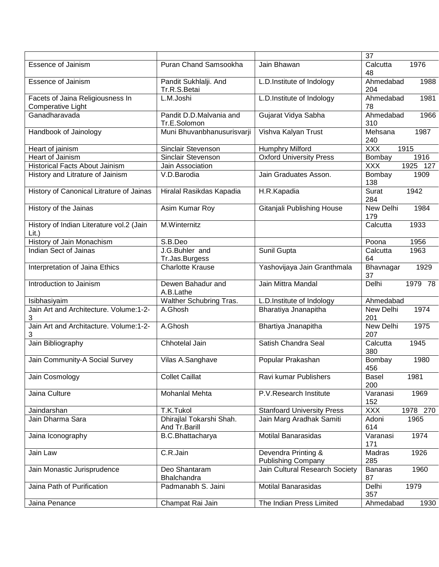|                                                       |                                           |                                                  | 37                   |          |
|-------------------------------------------------------|-------------------------------------------|--------------------------------------------------|----------------------|----------|
| <b>Essence of Jainism</b>                             | Puran Chand Samsookha                     | Jain Bhawan                                      | Calcutta<br>48       | 1976     |
| <b>Essence of Jainism</b>                             | Pandit Sukhlalji. And<br>Tr.R.S.Betai     | L.D.Institute of Indology                        | Ahmedabad<br>204     | 1988     |
| Facets of Jaina Religiousness In<br>Comperative Light | L.M.Joshi                                 | L.D.Institute of Indology                        | Ahmedabad<br>78      | 1981     |
| Ganadharavada                                         | Pandit D.D.Malvania and<br>Tr.E.Solomon   | Gujarat Vidya Sabha                              | Ahmedabad<br>310     | 1966     |
| Handbook of Jainology                                 | Muni Bhuvanbhanusurisvarji                | Vishva Kalyan Trust                              | Mehsana<br>240       | 1987     |
| Heart of jainism                                      | Sinclair Stevenson                        | Humphry Milford                                  | <b>XXX</b><br>1915   |          |
| Heart of Jainism                                      | <b>Sinclair Stevenson</b>                 | <b>Oxford University Press</b>                   | Bombay               | 1916     |
| <b>Historical Facts About Jainism</b>                 | Jain Association                          |                                                  | <b>XXX</b>           | 1925 127 |
| History and Litrature of Jainism                      | V.D.Barodia                               | Jain Graduates Asson.                            | Bombay<br>138        | 1909     |
| History of Canonical Litrature of Jainas              | Hiralal Rasikdas Kapadia                  | H.R.Kapadia                                      | Surat<br>284         | 1942     |
| History of the Jainas                                 | Asim Kumar Roy                            | Gitanjali Publishing House                       | New Delhi<br>179     | 1984     |
| History of Indian Literature vol.2 (Jain<br>Lit.)     | M.Winternitz                              |                                                  | Calcutta             | 1933     |
| History of Jain Monachism                             | S.B.Deo                                   |                                                  | Poona                | 1956     |
| <b>Indian Sect of Jainas</b>                          | J.G.Buhler and<br>Tr.Jas.Burgess          | Sunil Gupta                                      | Calcutta<br>64       | 1963     |
| Interpretation of Jaina Ethics                        | <b>Charlotte Krause</b>                   | Yashovijaya Jain Granthmala                      | Bhavnagar<br>37      | 1929     |
| Introduction to Jainism                               | Dewen Bahadur and<br>A.B.Lathe            | Jain Mittra Mandal                               | Delhi                | 1979 78  |
| Isibhasiyaim                                          | Walther Schubring Tras.                   | L.D.Institute of Indology                        | Ahmedabad            |          |
| Jain Art and Architecture. Volume:1-2-<br>3           | A.Ghosh                                   | Bharatiya Jnanapitha                             | New Delhi<br>201     | 1974     |
| Jain Art and Architacture. Volume:1-2-<br>3           | A.Ghosh                                   | Bhartiya Jnanapitha                              | New Delhi<br>207     | 1975     |
| Jain Bibliography                                     | Chhotelal Jain                            | Satish Chandra Seal                              | Calcutta<br>380      | 1945     |
| Jain Community-A Social Survey                        | Vilas A.Sanghave                          | Popular Prakashan                                | Bombay<br>456        | 1980     |
| Jain Cosmology                                        | <b>Collet Caillat</b>                     | Ravi kumar Publishers                            | Basel<br>200         | 1981     |
| Jaina Culture                                         | Mohanlal Mehta                            | P.V.Research Institute                           | Varanasi<br>152      | 1969     |
| Jaindarshan                                           | T.K.Tukol                                 | <b>Stanfoard University Press</b>                | <b>XXX</b>           | 1978 270 |
| Jain Dharma Sara                                      | Dhirajlal Tokarshi Shah.<br>And Tr.Barill | Jain Marg Aradhak Samiti                         | Adoni<br>614         | 1965     |
| Jaina Iconography                                     | B.C.Bhattacharya                          | <b>Motilal Banarasidas</b>                       | Varanasi<br>171      | 1974     |
| Jain Law                                              | C.R.Jain                                  | Devendra Printing &<br><b>Publishing Company</b> | Madras<br>285        | 1926     |
| Jain Monastic Jurisprudence                           | Deo Shantaram<br>Bhalchandra              | Jain Cultural Research Society                   | <b>Banaras</b><br>87 | 1960     |
| Jaina Path of Purification                            | Padmanabh S. Jaini                        | <b>Motilal Banarasidas</b>                       | Delhi<br>357         | 1979     |
| Jaina Penance                                         | Champat Rai Jain                          | The Indian Press Limited                         | Ahmedabad            | 1930     |
|                                                       |                                           |                                                  |                      |          |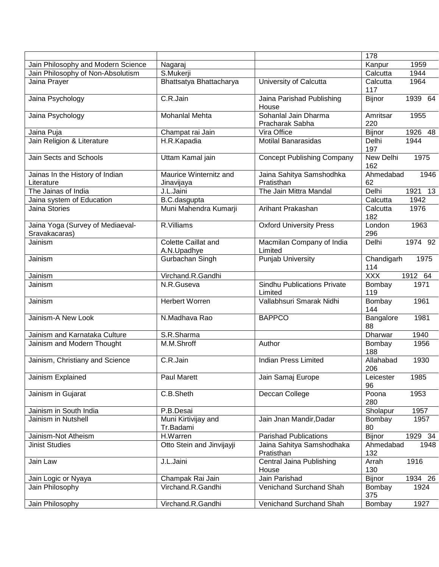|                                                   |                                    |                                               | 178               |         |
|---------------------------------------------------|------------------------------------|-----------------------------------------------|-------------------|---------|
| Jain Philosophy and Modern Science                | Nagaraj                            |                                               | Kanpur            | 1959    |
| Jain Philosophy of Non-Absolutism                 | S.Mukerji                          |                                               | Calcutta          | 1944    |
| Jaina Prayer                                      | Bhattsatya Bhattacharya            | University of Calcutta                        | Calcutta<br>117   | 1964    |
| Jaina Psychology                                  | C.R.Jain                           | Jaina Parishad Publishing<br>House            | Bijnor            | 1939 64 |
| Jaina Psychology                                  | Mohanlal Mehta                     | Sohanlal Jain Dharma                          | Amritsar          | 1955    |
|                                                   |                                    | Pracharak Sabha                               | 220               |         |
| Jaina Puja                                        | Champat rai Jain                   | Vira Office                                   | <b>Bijnor</b>     | 1926 48 |
| Jain Religion & Literature                        | H.R.Kapadia                        | Motilal Banarasidas                           | Delhi<br>197      | 1944    |
| Jain Sects and Schools                            | Uttam Kamal jain                   | <b>Concept Publishing Company</b>             | New Delhi<br>162  | 1975    |
| Jainas In the History of Indian                   | Maurice Winternitz and             | Jaina Sahitya Samshodhka                      | Ahmedabad         | 1946    |
| Literature                                        | Jinavijaya                         | Pratisthan                                    | 62                |         |
| The Jainas of India                               | J.L.Jaini                          | The Jain Mittra Mandal                        | Delhi             | 1921 13 |
| Jaina system of Education                         | B.C.dasgupta                       |                                               | Calcutta          | 1942    |
| Jaina Stories                                     | Muni Mahendra Kumarji              | Arihant Prakashan                             | Calcutta<br>182   | 1976    |
| Jaina Yoga (Survey of Mediaeval-<br>Sravakacaras) | R.Villiams                         | <b>Oxford University Press</b>                | London<br>296     | 1963    |
| Jainism                                           | Colette Caillat and<br>A.N.Upadhye | Macmilan Company of India<br>Limited          | Delhi             | 1974 92 |
| Jainism                                           | Gurbachan Singh                    | <b>Punjab University</b>                      | Chandigarh<br>114 | 1975    |
| Jainism                                           | Virchand.R.Gandhi                  |                                               | <b>XXX</b>        | 1912 64 |
| Jainism                                           | N.R.Guseva                         | <b>Sindhu Publications Private</b><br>Limited | Bombay<br>119     | 1971    |
| Jainism                                           | <b>Herbert Worren</b>              | Vallabhsuri Smarak Nidhi                      | Bombay<br>144     | 1961    |
| Jainism-A New Look                                | N.Madhava Rao                      | <b>BAPPCO</b>                                 | Bangalore<br>88   | 1981    |
| Jainism and Karnataka Culture                     | S.R.Sharma                         |                                               | Dharwar           | 1940    |
| Jainism and Modern Thought                        | M.M.Shroff                         | Author                                        | Bombay<br>188     | 1956    |
| Jainism, Christiany and Science                   | C.R.Jain                           | <b>Indian Press Limited</b>                   | Allahabad<br>206  | 1930    |
| Jainism Explained                                 | Paul Marett                        | Jain Samaj Europe                             | Leicester<br>96   | 1985    |
| Jainism in Gujarat                                | C.B.Sheth                          | Deccan College                                | Poona<br>280      | 1953    |
| Jainism in South India                            | P.B.Desai                          |                                               | Sholapur          | 1957    |
| Jainism in Nutshell                               | Muni Kirtivijay and                | Jain Jnan Mandir, Dadar                       | Bombay            | 1957    |
|                                                   | Tr.Badami                          |                                               | 80                |         |
| Jainism-Not Atheism                               | H.Warren                           | <b>Parishad Publications</b>                  | Bijnor            | 1929 34 |
| <b>Jinist Studies</b>                             | Otto Stein and Jinvijayji          | Jaina Sahitya Samshodhaka<br>Pratisthan       | Ahmedabad<br>132  | 1948    |
| Jain Law                                          | J.L.Jaini                          | Central Jaina Publishing<br>House             | Arrah<br>130      | 1916    |
| Jain Logic or Nyaya                               | Champak Rai Jain                   | Jain Parishad                                 | <b>Bijnor</b>     | 1934 26 |
| Jain Philosophy                                   | Virchand.R.Gandhi                  | Venichand Surchand Shah                       | Bombay<br>375     | 1924    |
| Jain Philosophy                                   | Virchand.R.Gandhi                  | Venichand Surchand Shah                       | Bombay            | 1927    |
|                                                   |                                    |                                               |                   |         |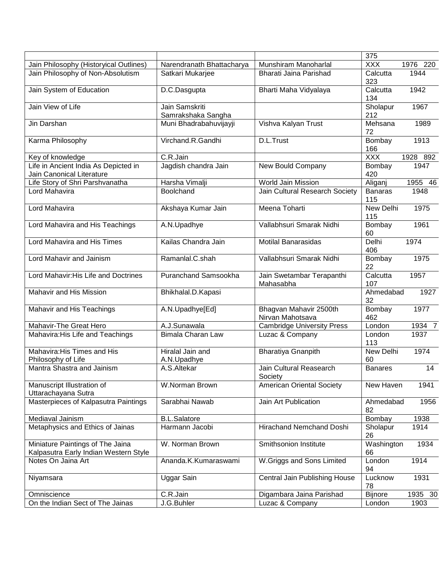|                                                                           |                                      |                                            | 375                   |          |
|---------------------------------------------------------------------------|--------------------------------------|--------------------------------------------|-----------------------|----------|
| Jain Philosophy (Historyical Outlines)                                    | Narendranath Bhattacharya            | Munshiram Manoharlal                       | <b>XXX</b>            | 1976 220 |
| Jain Philosophy of Non-Absolutism                                         | Satkari Mukarjee                     | Bharati Jaina Parishad                     | Calcutta<br>323       | 1944     |
| Jain System of Education                                                  | D.C.Dasgupta                         | Bharti Maha Vidyalaya                      | Calcutta<br>134       | 1942     |
| Jain View of Life                                                         | Jain Samskriti<br>Samrakshaka Sangha |                                            | Sholapur<br>212       | 1967     |
| Jin Darshan                                                               | Muni Bhadrabahuvijayji               | Vishva Kalyan Trust                        | Mehsana<br>72         | 1989     |
| Karma Philosophy                                                          | Virchand.R.Gandhi                    | D.L.Trust                                  | Bombay<br>166         | 1913     |
| Key of knowledge                                                          | C.R.Jain                             |                                            | <b>XXX</b>            | 1928 892 |
| Life in Ancient India As Depicted in<br>Jain Canonical Literature         | Jagdish chandra Jain                 | New Bould Company                          | Bombay<br>420         | 1947     |
| Life Story of Shri Parshvanatha                                           | Harsha Vimalji                       | <b>World Jain Mission</b>                  | Aliganj               | 1955 46  |
| Lord Mahavira                                                             | Boolchand                            | Jain Cultural Research Society             | <b>Banaras</b><br>115 | 1948     |
| Lord Mahavira                                                             | Akshaya Kumar Jain                   | Meena Toharti                              | New Delhi<br>115      | 1975     |
| Lord Mahavira and His Teachings                                           | A.N.Upadhye                          | Vallabhsuri Smarak Nidhi                   | Bombay<br>60          | 1961     |
| Lord Mahavira and His Times                                               | Kailas Chandra Jain                  | <b>Motilal Banarasidas</b>                 | Delhi<br>406          | 1974     |
| Lord Mahavir and Jainism                                                  | Ramanlal.C.shah                      | Vallabhsuri Smarak Nidhi                   | Bombay<br>22          | 1975     |
| Lord Mahavir: His Life and Doctrines                                      | <b>Puranchand Samsookha</b>          | Jain Swetambar Terapanthi<br>Mahasabha     | Calcutta<br>107       | 1957     |
| Mahavir and His Mission                                                   | Bhikhalal.D.Kapasi                   |                                            | Ahmedabad<br>32       | 1927     |
| Mahavir and His Teachings                                                 | A.N.Upadhye[Ed]                      | Bhagvan Mahavir 2500th<br>Nirvan Mahotsava | Bombay<br>462         | 1977     |
| Mahavir-The Great Hero                                                    | A.J.Sunawala                         | <b>Cambridge University Press</b>          | London                | 1934 7   |
| Mahavira: His Life and Teachings                                          | Bimala Charan Law                    | Luzac & Company                            | London<br>113         | 1937     |
| Mahavira: His Times and His<br>Philosophy of Life                         | Hiralal Jain and<br>A.N.Upadhye      | <b>Bharatiya Gnanpith</b>                  | New Delhi<br>60       | 1974     |
| Mantra Shastra and Jainism                                                | A.S.Altekar                          | Jain Cultural Reasearch<br>Society         | <b>Banares</b>        | 14       |
| Manuscript Illustration of<br>Uttarachayana Sutra                         | W.Norman Brown                       | <b>American Oriental Society</b>           | New Haven             | 1941     |
| Masterpieces of Kalpasutra Paintings                                      | Sarabhai Nawab                       | Jain Art Publication                       | Ahmedabad<br>82       | 1956     |
| Mediaval Jainism                                                          | <b>B.L.Salatore</b>                  |                                            | Bombay                | 1938     |
| Metaphysics and Ethics of Jainas                                          | Harmann Jacobi                       | Hirachand Nemchand Doshi                   | Sholapur<br>26        | 1914     |
| Miniature Paintings of The Jaina<br>Kalpasutra Early Indian Western Style | W. Norman Brown                      | Smithsonion Institute                      | Washington<br>66      | 1934     |
| Notes On Jaina Art                                                        | Ananda.K.Kumaraswami                 | W.Griggs and Sons Limited                  | London<br>94          | 1914     |
| Niyamsara                                                                 | Uggar Sain                           | Central Jain Publishing House              | Lucknow<br>78         | 1931     |
| Omniscience                                                               | C.R.Jain                             | Digambara Jaina Parishad                   | Bijnore               | 1935 30  |
| On the Indian Sect of The Jainas                                          | J.G.Buhler                           | Luzac & Company                            | London                | 1903     |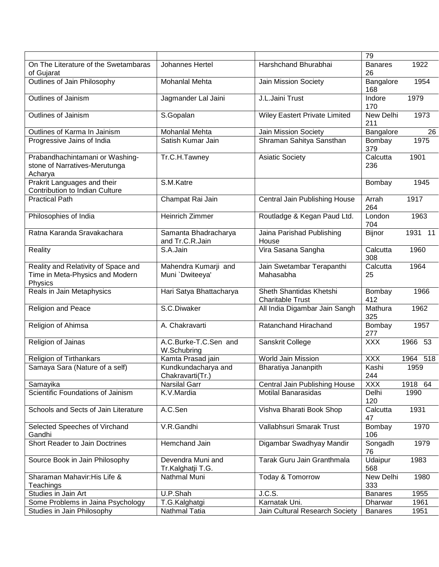|                                                                                   |                                         |                                                    | 79                   |          |
|-----------------------------------------------------------------------------------|-----------------------------------------|----------------------------------------------------|----------------------|----------|
| On The Literature of the Swetambaras<br>of Gujarat                                | Johannes Hertel                         | Harshchand Bhurabhai                               | <b>Banares</b><br>26 | 1922     |
| Outlines of Jain Philosophy                                                       | Mohanlal Mehta                          | Jain Mission Society                               | Bangalore<br>168     | 1954     |
| <b>Outlines of Jainism</b>                                                        | Jagmander Lal Jaini                     | J.L.Jaini Trust                                    | Indore<br>170        | 1979     |
| Outlines of Jainism                                                               | S.Gopalan                               | Wiley Eastert Private Limited                      | New Delhi<br>211     | 1973     |
| Outlines of Karma In Jainism                                                      | <b>Mohanlal Mehta</b>                   | Jain Mission Society                               | Bangalore            | 26       |
| Progressive Jains of India                                                        | Satish Kumar Jain                       | Shraman Sahitya Sansthan                           | Bombay<br>379        | 1975     |
| Prabandhachintamani or Washing-<br>stone of Narratives-Merutunga<br>Acharya       | Tr.C.H.Tawney                           | <b>Asiatic Society</b>                             | Calcutta<br>236      | 1901     |
| Prakrit Languages and their<br>Contribution to Indian Culture                     | S.M.Katre                               |                                                    | Bombay               | 1945     |
| <b>Practical Path</b>                                                             | Champat Rai Jain                        | Central Jain Publishing House                      | Arrah<br>264         | 1917     |
| Philosophies of India                                                             | <b>Heinrich Zimmer</b>                  | Routladge & Kegan Paud Ltd.                        | London<br>704        | 1963     |
| Ratna Karanda Sravakachara                                                        | Samanta Bhadracharya<br>and Tr.C.R.Jain | Jaina Parishad Publishing<br>House                 | Bijnor               | 1931 11  |
| <b>Reality</b>                                                                    | S.A.Jain                                | Vira Sasana Sangha                                 | Calcutta<br>308      | 1960     |
| Reality and Relativity of Space and<br>Time in Meta-Physics and Modern<br>Physics | Mahendra Kumarji and<br>Muni `Dwiteeya' | Jain Swetambar Terapanthi<br>Mahasabha             | Calcutta<br>25       | 1964     |
| Reals in Jain Metaphysics                                                         | Hari Satya Bhattacharya                 | Sheth Shantidas Khetshi<br><b>Charitable Trust</b> | Bombay<br>412        | 1966     |
| Religion and Peace                                                                | S.C.Diwaker                             | All India Digambar Jain Sangh                      | Mathura<br>325       | 1962     |
| Religion of Ahimsa                                                                | A. Chakravarti                          | Ratanchand Hirachand                               | Bombay<br>277        | 1957     |
| Religion of Jainas                                                                | A.C.Burke-T.C.Sen and<br>W.Schubring    | Sanskrit College                                   | <b>XXX</b>           | 1966 53  |
| Religion of Tirthankars                                                           | Kamta Prasad jain                       | World Jain Mission                                 | <b>XXX</b>           | 1964 518 |
| Samaya Sara (Nature of a self)                                                    | Kundkundacharya and<br>Chakravarti(Tr.) | Bharatiya Jananpith                                | Kashi<br>244         | 1959     |
| Samayika                                                                          | <b>Narsilal Garr</b>                    | Central Jain Publishing House                      | <b>XXX</b>           | 1918 64  |
| Scientific Foundations of Jainism                                                 | K.V.Mardia                              | <b>Motilal Banarasidas</b>                         | Delhi<br>120         | 1990     |
| Schools and Sects of Jain Literature                                              | A.C.Sen                                 | Vishva Bharati Book Shop                           | Calcutta<br>47       | 1931     |
| Selected Speeches of Virchand<br>Gandhi                                           | V.R.Gandhi                              | Vallabhsuri Smarak Trust                           | Bombay<br>106        | 1970     |
| <b>Short Reader to Jain Doctrines</b>                                             | Hemchand Jain                           | Digambar Swadhyay Mandir                           | Songadh<br>76        | 1979     |
| Source Book in Jain Philosophy                                                    | Devendra Muni and<br>Tr.Kalghatji T.G.  | Tarak Guru Jain Granthmala                         | Udaipur<br>568       | 1983     |
| Sharaman Mahavir: His Life &<br>Teachings                                         | Nathmal Muni                            | Today & Tomorrow                                   | New Delhi<br>333     | 1980     |
| Studies in Jain Art                                                               | U.P.Shah                                | J.C.S.                                             | <b>Banares</b>       | 1955     |
| Some Problems in Jaina Psychology                                                 | T.G.Kalghatgi                           | Karnatak Uni.                                      | Dharwar              | 1961     |
| Studies in Jain Philosophy                                                        | Nathmal Tatia                           | Jain Cultural Research Society                     | <b>Banares</b>       | 1951     |